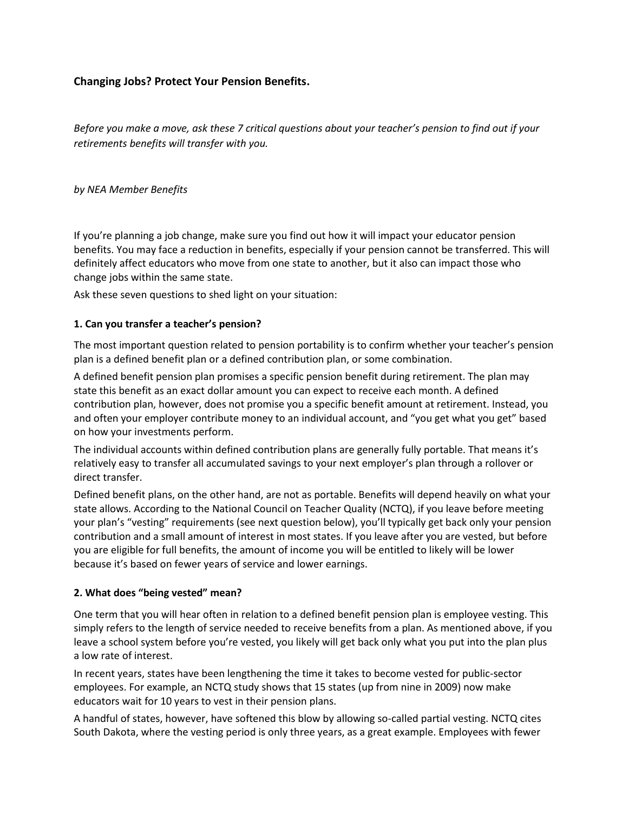# **Changing Jobs? Protect Your Pension Benefits.**

*Before you make a move, ask these 7 critical questions about your teacher's pension to find out if your retirements benefits will transfer with you.*

*by NEA Member Benefits*

If you're planning a job change, make sure you find out how it will impact your educator pension benefits. You may face a reduction in benefits, especially if your pension cannot be transferred. This will definitely affect educators who move from one state to another, but it also can impact those who change jobs within the same state.

Ask these seven questions to shed light on your situation:

### **1. Can you transfer a teacher's pension?**

The most important question related to pension portability is to confirm whether your teacher's pension plan is a defined benefit plan or a defined contribution plan, or some combination.

A defined benefit pension plan promises a specific pension benefit during retirement. The plan may state this benefit as an exact dollar amount you can expect to receive each month. A defined contribution plan, however, does not promise you a specific benefit amount at retirement. Instead, you and often your employer contribute money to an individual account, and "you get what you get" based on how your investments perform.

The individual accounts within defined contribution plans are generally fully portable. That means it's relatively easy to transfer all accumulated savings to your next employer's plan through a rollover or direct transfer.

Defined benefit plans, on the other hand, are not as portable. Benefits will depend heavily on what your state allows. According to the National Council on Teacher Quality (NCTQ), if you leave before meeting your plan's "vesting" requirements (see next question below), you'll typically get back only your pension contribution and a small amount of interest in most states. If you leave after you are vested, but before you are eligible for full benefits, the amount of income you will be entitled to likely will be lower because it's based on fewer years of service and lower earnings.

### **2. What does "being vested" mean?**

One term that you will hear often in relation to a defined benefit pension plan is employee vesting. This simply refers to the length of service needed to receive benefits from a plan. As mentioned above, if you leave a school system before you're vested, you likely will get back only what you put into the plan plus a low rate of interest.

In recent years, states have been lengthening the time it takes to become vested for public-sector employees. For example, an NCTQ study shows that 15 states (up from nine in 2009) now make educators wait for 10 years to vest in their pension plans.

A handful of states, however, have softened this blow by allowing so-called partial vesting. NCTQ cites South Dakota, where the vesting period is only three years, as a great example. Employees with fewer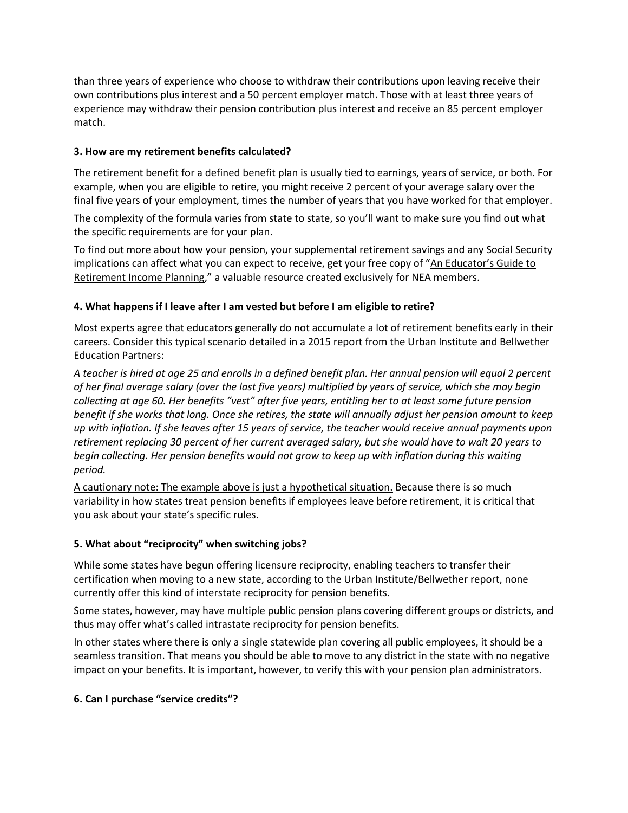than three years of experience who choose to withdraw their contributions upon leaving receive their own contributions plus interest and a 50 percent employer match. Those with at least three years of experience may withdraw their pension contribution plus interest and receive an 85 percent employer match.

## **3. How are my retirement benefits calculated?**

The retirement benefit for a defined benefit plan is usually tied to earnings, years of service, or both. For example, when you are eligible to retire, you might receive 2 percent of your average salary over the final five years of your employment, times the number of years that you have worked for that employer.

The complexity of the formula varies from state to state, so you'll want to make sure you find out what the specific requirements are for your plan.

To find out more about how your pension, your supplemental retirement savings and any Social Security implications can affect what you can expect to receive, get your free copy of "An Educator's Guide to [Retirement Income Planning](https://www.neamb.com/guides/an-educators-guide-to-retirement-income-planning)," a valuable resource created exclusively for NEA members.

### **4. What happens if I leave after I am vested but before I am eligible to retire?**

Most experts agree that educators generally do not accumulate a lot of retirement benefits early in their careers. Consider this typical scenario detailed in a 2015 report from the Urban Institute and Bellwether Education Partners:

*A teacher is hired at age 25 and enrolls in a defined benefit plan. Her annual pension will equal 2 percent of her final average salary (over the last five years) multiplied by years of service, which she may begin collecting at age 60. Her benefits "vest" after five years, entitling her to at least some future pension benefit if she works that long. Once she retires, the state will annually adjust her pension amount to keep up with inflation. If she leaves after 15 years of service, the teacher would receive annual payments upon retirement replacing 30 percent of her current averaged salary, but she would have to wait 20 years to begin collecting. Her pension benefits would not grow to keep up with inflation during this waiting period.*

A cautionary note: The example above is just a hypothetical situation. Because there is so much variability in how states treat pension benefits if employees leave before retirement, it is critical that you ask about your state's specific rules.

### **5. What about "reciprocity" when switching jobs?**

While some states have begun offering licensure reciprocity, enabling teachers to transfer their certification when moving to a new state, according to the Urban Institute/Bellwether report, none currently offer this kind of interstate reciprocity for pension benefits.

Some states, however, may have multiple public pension plans covering different groups or districts, and thus may offer what's called intrastate reciprocity for pension benefits.

In other states where there is only a single statewide plan covering all public employees, it should be a seamless transition. That means you should be able to move to any district in the state with no negative impact on your benefits. It is important, however, to verify this with your pension plan administrators.

### **6. Can I purchase "service credits"?**